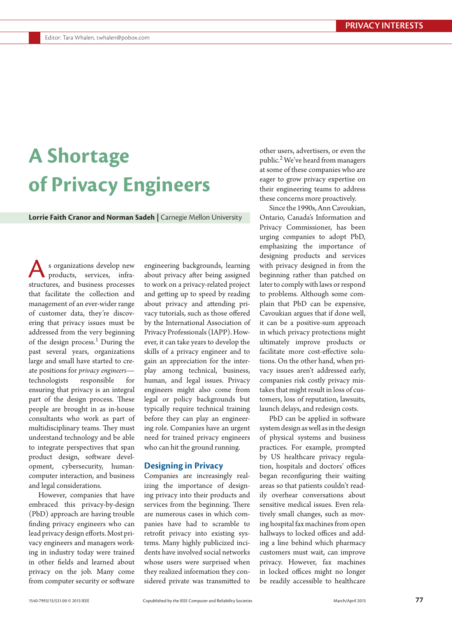# **A Shortage of Privacy Engineers**

**Lorrie Faith Cranor and Norman Sadeh |** Carnegie Mellon University

As organizations develop new products, services, infrastructures, and business processes that facilitate the collection and management of an ever-wider range of customer data, they're discovering that privacy issues must be addressed from the very beginning of the design process.<sup>1</sup> During the past several years, organizations large and small have started to create positions for *privacy engineers* technologists responsible for ensuring that privacy is an integral part of the design process. These people are brought in as in-house consultants who work as part of multidisciplinary teams. They must understand technology and be able to integrate perspectives that span product design, software development, cybersecurity, humancomputer interaction, and business and legal considerations.

However, companies that have embraced this privacy-by-design (PbD) approach are having trouble finding privacy engineers who can lead privacy design efforts. Most privacy engineers and managers working in industry today were trained in other fields and learned about privacy on the job. Many come from computer security or software

engineering backgrounds, learning about privacy after being assigned to work on a privacy-related project and getting up to speed by reading about privacy and attending privacy tutorials, such as those offered by the International Association of Privacy Professionals (IAPP). However, it can take years to develop the skills of a privacy engineer and to gain an appreciation for the interplay among technical, business, human, and legal issues. Privacy engineers might also come from legal or policy backgrounds but typically require technical training before they can play an engineering role. Companies have an urgent need for trained privacy engineers who can hit the ground running.

#### **Designing in Privacy**

Companies are increasingly realizing the importance of designing privacy into their products and services from the beginning. There are numerous cases in which companies have had to scramble to retrofit privacy into existing systems. Many highly publicized incidents have involved social networks whose users were surprised when they realized information they considered private was transmitted to other users, advertisers, or even the public.2 We've heard from managers at some of these companies who are eager to grow privacy expertise on their engineering teams to address these concerns more proactively.

Since the 1990s, Ann Cavoukian, Ontario, Canada's Information and Privacy Commissioner, has been urging companies to adopt PbD, emphasizing the importance of designing products and services with privacy designed in from the beginning rather than patched on later to comply with laws or respond to problems. Although some complain that PbD can be expensive, Cavoukian argues that if done well, it can be a positive-sum approach in which privacy protections might ultimately improve products or facilitate more cost-effective solutions. On the other hand, when privacy issues aren't addressed early, companies risk costly privacy mistakes that might result in loss of customers, loss of reputation, lawsuits, launch delays, and redesign costs.

PbD can be applied in software system design as well as in the design of physical systems and business practices. For example, prompted by US healthcare privacy regulation, hospitals and doctors' offices began reconfiguring their waiting areas so that patients couldn't readily overhear conversations about sensitive medical issues. Even relatively small changes, such as moving hospital fax machines from open hallways to locked offices and adding a line behind which pharmacy customers must wait, can improve privacy. However, fax machines in locked offices might no longer be readily accessible to healthcare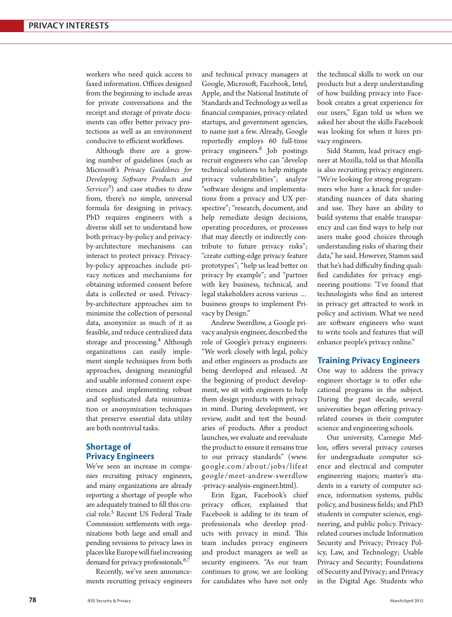workers who need quick access to faxed information. Offices designed from the beginning to include areas for private conversations and the receipt and storage of private documents can offer better privacy protections as well as an environment conducive to efficient workflows.

Although there are a growing number of guidelines (such as Microsoft's *Privacy Guidelines for Developing Software Products and Services*<sup>3</sup> ) and case studies to draw from, there's no simple, universal formula for designing in privacy. PbD requires engineers with a diverse skill set to understand how both privacy-by-policy and privacyby-architecture mechanisms can interact to protect privacy. Privacyby-policy approaches include privacy notices and mechanisms for obtaining informed consent before data is collected or used. Privacyby-architecture approaches aim to minimize the collection of personal data, anonymize as much of it as feasible, and reduce centralized data storage and processing.<sup>4</sup> Although organizations can easily implement simple techniques from both approaches, designing meaningful and usable informed consent experiences and implementing robust and sophisticated data minimization or anonymization techniques that preserve essential data utility are both nontrivial tasks.

## **Shortage of Privacy Engineers**

We've seen an increase in companies recruiting privacy engineers, and many organizations are already reporting a shortage of people who are adequately trained to fill this crucial role.5 Recent US Federal Trade Commission settlements with organizations both large and small and pending revisions to privacy laws in places like Europe will fuel increasing demand for privacy professionals.<sup>6,7</sup>

Recently, we've seen announcements recruiting privacy engineers

and technical privacy managers at Google, Microsoft, Facebook, Intel, Apple, and the National Institute of Standards and Technology as well as financial companies, privacy-related startups, and government agencies, to name just a few. Already, Google reportedly employs 60 full-time privacy engineers.8 Job postings recruit engineers who can "develop technical solutions to help mitigate privacy vulnerabilities"; analyze "software designs and implementations from a privacy and UX perspective"; "research, document, and help remediate design decisions, operating procedures, or processes that may directly or indirectly contribute to future privacy risks"; "create cutting-edge privacy feature prototypes"; "help us lead better on privacy by example"; and "partner with key business, technical, and legal stakeholders across various … business groups to implement Privacy by Design."

Andrew Swerdlow, a Google privacy analysis engineer, described the role of Google's privacy engineers: "We work closely with legal, policy and other engineers as products are being developed and released. At the beginning of product development, we sit with engineers to help them design products with privacy in mind. During development, we review, audit and test the boundaries of products. After a product launches, we evaluate and reevaluate the product to ensure it remains true to our privacy standards" (www. google.com/about/jobs/lifeat google/meet-andrew-swerdlow -privacy-analysis-engineer.html).

Erin Egan, Facebook's chief privacy officer, explained that Facebook is adding to its team of professionals who develop products with privacy in mind. This team includes privacy engineers and product managers as well as security engineers. "As our team continues to grow, we are looking for candidates who have not only the technical skills to work on our products but a deep understanding of how building privacy into Facebook creates a great experience for our users," Egan told us when we asked her about the skills Facebook was looking for when it hires privacy engineers.

Sidd Stamm, lead privacy engineer at Mozilla, told us that Mozilla is also recruiting privacy engineers. "We're looking for strong programmers who have a knack for understanding nuances of data sharing and use. They have an ability to build systems that enable transparency and can find ways to help our users make good choices through understanding risks of sharing their data," he said. However, Stamm said that he's had difficulty finding qualified candidates for privacy engineering positions: "I've found that technologists who find an interest in privacy get attracted to work in policy and activism. What we need are software engineers who want to write tools and features that will enhance people's privacy online."

### **Training Privacy Engineers**

One way to address the privacy engineer shortage is to offer educational programs in the subject. During the past decade, several universities began offering privacyrelated courses in their computer science and engineering schools.

Our university, Carnegie Mellon, offers several privacy courses for undergraduate computer science and electrical and computer engineering majors; master's students in a variety of computer science, information systems, public policy, and business fields; and PhD students in computer science, engineering, and public policy. Privacyrelated courses include Information Security and Privacy; Privacy Policy, Law, and Technology; Usable Privacy and Security; Foundations of Security and Privacy; and Privacy in the Digital Age. Students who